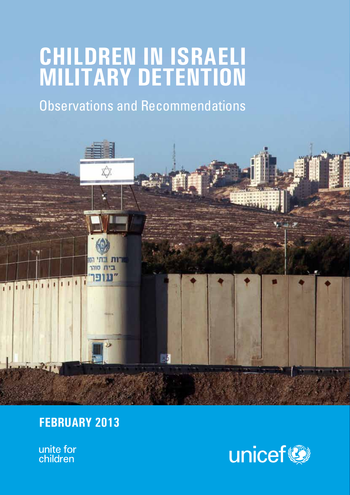# **Children in israeli Military Detention**

Observations and Recommendations



# **February 2013**

unite for<br>children

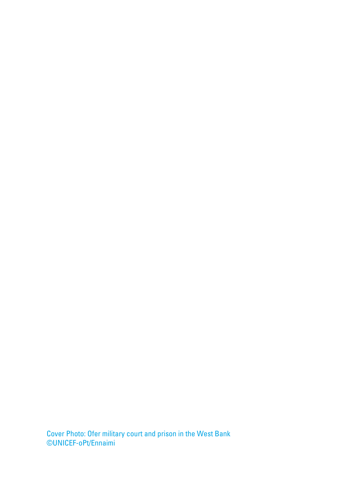Cover Photo: Ofer military court and prison in the West Bank ©UNICEF-oPt/Ennaimi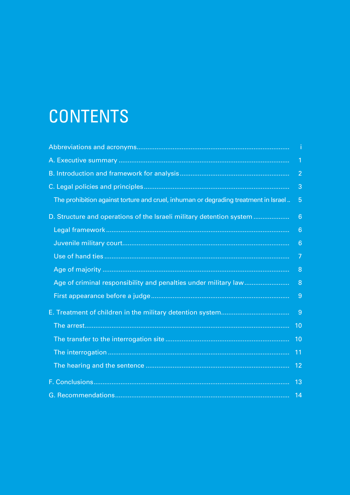# **CONTENTS**

|                                                                                     | 1               |
|-------------------------------------------------------------------------------------|-----------------|
|                                                                                     | $\overline{2}$  |
|                                                                                     | 3               |
| The prohibition against torture and cruel, inhuman or degrading treatment in Israel | 5               |
| D. Structure and operations of the Israeli military detention system                | $6\phantom{1}6$ |
|                                                                                     | 6               |
|                                                                                     | $6\phantom{1}6$ |
|                                                                                     | 7               |
|                                                                                     | 8               |
| Age of criminal responsibility and penalties under military law                     | 8               |
|                                                                                     | $\overline{9}$  |
|                                                                                     | 9               |
|                                                                                     | 10              |
|                                                                                     | 10              |
|                                                                                     | 11              |
|                                                                                     | 12              |
|                                                                                     | 13              |
|                                                                                     | 14              |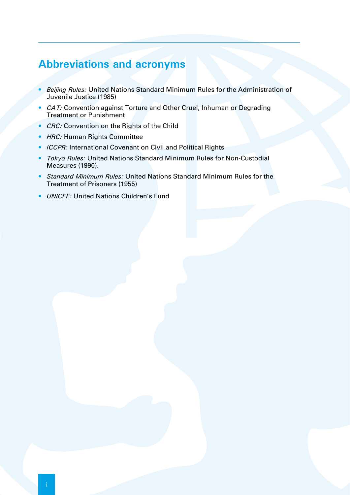# **Abbreviations and acronyms**

- *•. Beijing Rules:* United Nations Standard Minimum Rules for the Administration of Juvenile Justice (1985)
- *•. CAT:* Convention against Torture and Other Cruel, Inhuman or Degrading Treatment or Punishment
- *•. CRC:* Convention on the Rights of the Child
- *•. HRC:* Human Rights Committee
- *•. ICCPR:* International Covenant on Civil and Political Rights
- *•. Tokyo Rules:* United Nations Standard Minimum Rules for Non-Custodial Measures (1990).
- *•. Standard Minimum Rules:* United Nations Standard Minimum Rules for the Treatment of Prisoners (1955)
- *•. UNICEF:* United Nations Children's Fund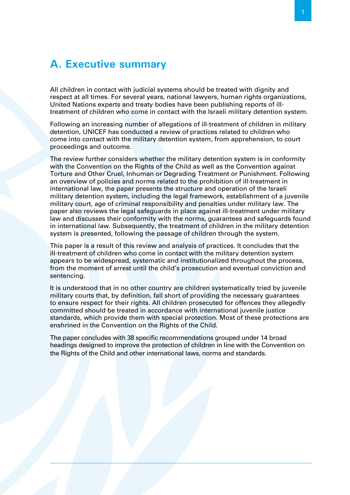# **A. Executive summary**

All children in contact with judicial systems should be treated with dignity and respect at all times. For several years, national lawyers, human rights organizations, United Nations experts and treaty bodies have been publishing reports of illtreatment of children who come in contact with the Israeli military detention system.

Following an increasing number of allegations of ill-treatment of children in military detention, UNICEF has conducted a review of practices related to children who come into contact with the military detention system, from apprehension, to court proceedings and outcome.

The review further considers whether the military detention system is in conformity with the Convention on the Rights of the Child as well as the Convention against Torture and Other Cruel, Inhuman or Degrading Treatment or Punishment. Following an overview of policies and norms related to the prohibition of ill-treatment in international law, the paper presents the structure and operation of the Israeli military detention system, including the legal framework, establishment of a juvenile military court, age of criminal responsibility and penalties under military law. The paper also reviews the legal safeguards in place against ill-treatment under military law and discusses their conformity with the norms, guarantees and safeguards found in international law. Subsequently, the treatment of children in the military detention system is presented, following the passage of children through the system.

This paper is a result of this review and analysis of practices. It concludes that the ill-treatment of children who come in contact with the military detention system appears to be widespread, systematic and institutionalized throughout the process, from the moment of arrest until the child's prosecution and eventual conviction and sentencing.

It is understood that in no other country are children systematically tried by juvenile military courts that, by definition, fall short of providing the necessary guarantees to ensure respect for their rights. All children prosecuted for offences they allegedly committed should be treated in accordance with international juvenile justice standards, which provide them with special protection. Most of these protections are enshrined in the Convention on the Rights of the Child.

The paper concludes with 38 specific recommendations grouped under 14 broad headings designed to improve the protection of children in line with the Convention on the Rights of the Child and other international laws, norms and standards.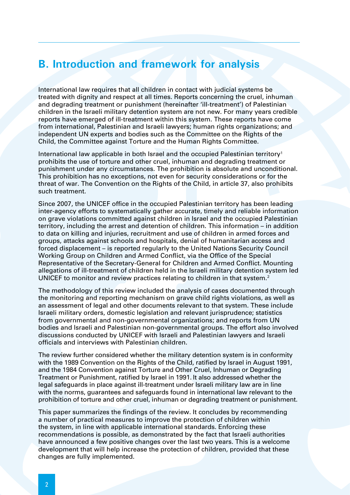# **B. Introduction and framework for analysis**

International law requires that all children in contact with judicial systems be treated with dignity and respect at all times. Reports concerning the cruel, inhuman and degrading treatment or punishment (hereinafter 'ill-treatment') of Palestinian children in the Israeli military detention system are not new. For many years credible reports have emerged of ill-treatment within this system. These reports have come from international, Palestinian and Israeli lawyers; human rights organizations; and independent UN experts and bodies such as the Committee on the Rights of the Child, the Committee against Torture and the Human Rights Committee.

International law applicable in both Israel and the occupied Palestinian territory<sup>1</sup> prohibits the use of torture and other cruel, inhuman and degrading treatment or punishment under any circumstances. The prohibition is absolute and unconditional. This prohibition has no exceptions, not even for security considerations or for the threat of war. The Convention on the Rights of the Child, in article 37, also prohibits such treatment.

Since 2007, the UNICEF office in the occupied Palestinian territory has been leading inter-agency efforts to systematically gather accurate, timely and reliable information on grave violations committed against children in Israel and the occupied Palestinian territory, including the arrest and detention of children. This information – in addition to data on killing and injuries, recruitment and use of children in armed forces and groups, attacks against schools and hospitals, denial of humanitarian access and forced displacement – is reported regularly to the United Nations Security Council Working Group on Children and Armed Conflict, via the Office of the Special Representative of the Secretary-General for Children and Armed Conflict. Mounting allegations of ill-treatment of children held in the Israeli military detention system led UNICEF to monitor and review practices relating to children in that system.<sup>2</sup>

The methodology of this review included the analysis of cases documented through the monitoring and reporting mechanism on grave child rights violations, as well as an assessment of legal and other documents relevant to that system. These include Israeli military orders, domestic legislation and relevant jurisprudence; statistics from governmental and non-governmental organizations; and reports from UN bodies and Israeli and Palestinian non-governmental groups. The effort also involved discussions conducted by UNICEF with Israeli and Palestinian lawyers and Israeli officials and interviews with Palestinian children.

The review further considered whether the military detention system is in conformity with the 1989 Convention on the Rights of the Child, ratified by Israel in August 1991, and the 1984 Convention against Torture and Other Cruel, Inhuman or Degrading Treatment or Punishment, ratified by Israel in 1991. It also addressed whether the legal safeguards in place against ill-treatment under Israeli military law are in line with the norms, guarantees and safeguards found in international law relevant to the prohibition of torture and other cruel, inhuman or degrading treatment or punishment.

This paper summarizes the findings of the review. It concludes by recommending a number of practical measures to improve the protection of children within the system, in line with applicable international standards. Enforcing these recommendations is possible, as demonstrated by the fact that Israeli authorities have announced a few positive changes over the last two years. This is a welcome development that will help increase the protection of children, provided that these changes are fully implemented.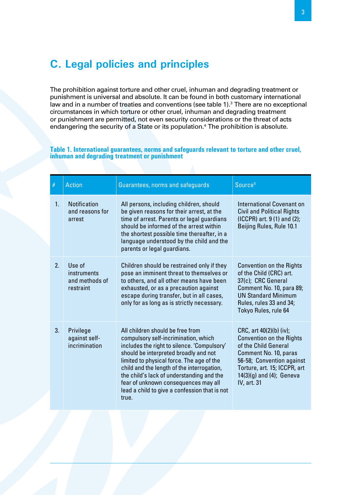# **C. Legal policies and principles**

The prohibition against torture and other cruel, inhuman and degrading treatment or punishment is universal and absolute. It can be found in both customary international law and in a number of treaties and conventions (see table 1).<sup>3</sup> There are no exceptional circumstances in which torture or other cruel, inhuman and degrading treatment or punishment are permitted, not even security considerations or the threat of acts endangering the security of a State or its population.<sup>4</sup> The prohibition is absolute.

#### **Table 1. International guarantees, norms and safeguards relevant to torture and other cruel, inhuman and degrading treatment or punishment**

| $\#$ | <b>Action</b>                                        | Guarantees, norms and safeguards                                                                                                                                                                                                                                                                                                                                                                           | Source <sup>5</sup>                                                                                                                                                                                                      |
|------|------------------------------------------------------|------------------------------------------------------------------------------------------------------------------------------------------------------------------------------------------------------------------------------------------------------------------------------------------------------------------------------------------------------------------------------------------------------------|--------------------------------------------------------------------------------------------------------------------------------------------------------------------------------------------------------------------------|
| 1.   | <b>Notification</b><br>and reasons for<br>arrest     | All persons, including children, should<br>be given reasons for their arrest, at the<br>time of arrest. Parents or legal guardians<br>should be informed of the arrest within<br>the shortest possible time thereafter, in a<br>language understood by the child and the<br>parents or legal guardians.                                                                                                    | International Covenant on<br><b>Civil and Political Rights</b><br>$(ICCPR)$ art. 9 $(1)$ and $(2)$ ;<br>Beijing Rules, Rule 10.1                                                                                         |
| 2.   | Use of<br>instruments<br>and methods of<br>restraint | Children should be restrained only if they<br>pose an imminent threat to themselves or<br>to others, and all other means have been<br>exhausted, or as a precaution against<br>escape during transfer, but in all cases,<br>only for as long as is strictly necessary.                                                                                                                                     | <b>Convention on the Rights</b><br>of the Child (CRC) art.<br>37(c); CRC General<br>Comment No. 10, para 89;<br><b>UN Standard Minimum</b><br>Rules, rules 33 and 34;<br>Tokyo Rules, rule 64                            |
| 3.   | <b>Privilege</b><br>against self-<br>incrimination   | All children should be free from<br>compulsory self-incrimination, which<br>includes the right to silence. 'Compulsory'<br>should be interpreted broadly and not<br>limited to physical force. The age of the<br>child and the length of the interrogation,<br>the child's lack of understanding and the<br>fear of unknown consequences may all<br>lead a child to give a confession that is not<br>true. | CRC, art 40(2)(b) (iv);<br><b>Convention on the Rights</b><br>of the Child General<br>Comment No. 10, paras<br>56-58; Convention against<br>Torture, art. 15; ICCPR, art<br>$14(3)(g)$ and $(4)$ ; Geneva<br>IV, art. 31 |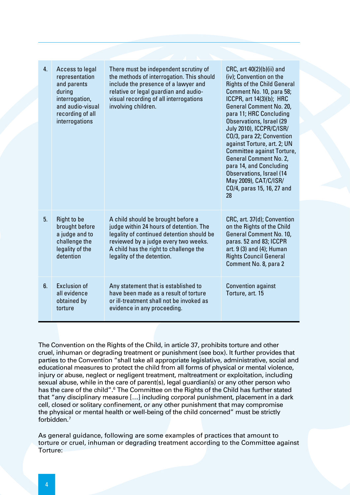| 4.             | Access to legal<br>representation<br>and parents<br>during<br>interrogation,<br>and audio-visual<br>recording of all<br>interrogations | There must be independent scrutiny of<br>the methods of interrogation. This should<br>include the presence of a lawyer and<br>relative or legal guardian and audio-<br>visual recording of all interrogations<br>involving children.       | $CRC$ , art $40(2)(b)(ii)$ and<br>(iv); Convention on the<br><b>Rights of the Child General</b><br>Comment No. 10, para 58;<br>ICCPR, $art 14(3)(b)$ ; HRC<br><b>General Comment No. 20,</b><br>para 11; HRC Concluding<br><b>Observations, Israel (29</b><br>July 2010), ICCPR/C/ISR/<br>CO/3, para 22; Convention<br>against Torture, art. 2; UN<br>Committee against Torture,<br><b>General Comment No. 2,</b><br>para 14, and Concluding<br><b>Observations, Israel (14</b><br>May 2009), CAT/C/ISR/<br>CO/4, paras 15, 16, 27 and<br>28 |
|----------------|----------------------------------------------------------------------------------------------------------------------------------------|--------------------------------------------------------------------------------------------------------------------------------------------------------------------------------------------------------------------------------------------|----------------------------------------------------------------------------------------------------------------------------------------------------------------------------------------------------------------------------------------------------------------------------------------------------------------------------------------------------------------------------------------------------------------------------------------------------------------------------------------------------------------------------------------------|
| 5 <sub>1</sub> | <b>Right to be</b><br>brought before<br>a judge and to<br>challenge the<br>legality of the<br>detention                                | A child should be brought before a<br>judge within 24 hours of detention. The<br>legality of continued detention should be<br>reviewed by a judge every two weeks.<br>A child has the right to challenge the<br>legality of the detention. | CRC, art. 37(d); Convention<br>on the Rights of the Child<br><b>General Comment No. 10,</b><br>paras. 52 and 83; ICCPR<br>art. 9 (3) and (4); Human<br><b>Rights Council General</b><br>Comment No. 8, para 2                                                                                                                                                                                                                                                                                                                                |
| 6.             | Exclusion of<br>all evidence<br>obtained by<br>torture                                                                                 | Any statement that is established to<br>have been made as a result of torture<br>or ill-treatment shall not be invoked as<br>evidence in any proceeding.                                                                                   | <b>Convention against</b><br>Torture, art. 15                                                                                                                                                                                                                                                                                                                                                                                                                                                                                                |

The Convention on the Rights of the Child, in article 37, prohibits torture and other cruel, inhuman or degrading treatment or punishment (see box). It further provides that parties to the Convention "shall take all appropriate legislative, administrative, social and educational measures to protect the child from all forms of physical or mental violence, injury or abuse, neglect or negligent treatment, maltreatment or exploitation, including sexual abuse, while in the care of parent(s), legal guardian(s) or any other person who has the care of the child".<sup>6</sup> The Committee on the Rights of the Child has further stated that "any disciplinary measure […] including corporal punishment, placement in a dark cell, closed or solitary confinement, or any other punishment that may compromise the physical or mental health or well-being of the child concerned" must be strictly forbidden.<sup>7</sup>

As general guidance, following are some examples of practices that amount to torture or cruel, inhuman or degrading treatment according to the Committee against Torture: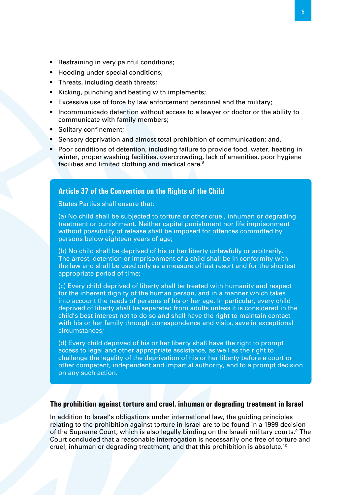- Restraining in very painful conditions;
- Hooding under special conditions:
- Threats, including death threats;
- Kicking, punching and beating with implements;
- Excessive use of force by law enforcement personnel and the military;
- Incommunicado detention without access to a lawyer or doctor or the ability to communicate with family members;
- Solitary confinement;
- Sensory deprivation and almost total prohibition of communication; and,
- Poor conditions of detention, including failure to provide food, water, heating in winter, proper washing facilities, overcrowding, lack of amenities, poor hygiene facilities and limited clothing and medical care.<sup>8</sup>

## **Article 37 of the Convention on the Rights of the Child**

States Parties shall ensure that:

(a) No child shall be subjected to torture or other cruel, inhuman or degrading treatment or punishment. Neither capital punishment nor life imprisonment without possibility of release shall be imposed for offences committed by persons below eighteen years of age;

(b) No child shall be deprived of his or her liberty unlawfully or arbitrarily. The arrest, detention or imprisonment of a child shall be in conformity with the law and shall be used only as a measure of last resort and for the shortest appropriate period of time;

(c) Every child deprived of liberty shall be treated with humanity and respect for the inherent dignity of the human person, and in a manner which takes into account the needs of persons of his or her age. In particular, every child deprived of liberty shall be separated from adults unless it is considered in the child's best interest not to do so and shall have the right to maintain contact with his or her family through correspondence and visits, save in exceptional circumstances;

(d) Every child deprived of his or her liberty shall have the right to prompt access to legal and other appropriate assistance, as well as the right to challenge the legality of the deprivation of his or her liberty before a court or other competent, independent and impartial authority, and to a prompt decision on any such action.

#### **The prohibition against torture and cruel, inhuman or degrading treatment in Israel**

In addition to Israel's obligations under international law, the guiding principles relating to the prohibition against torture in Israel are to be found in a 1999 decision of the Supreme Court, which is also legally binding on the Israeli military courts.<sup>9</sup> The Court concluded that a reasonable interrogation is necessarily one free of torture and cruel, inhuman or degrading treatment, and that this prohibition is absolute.<sup>10</sup>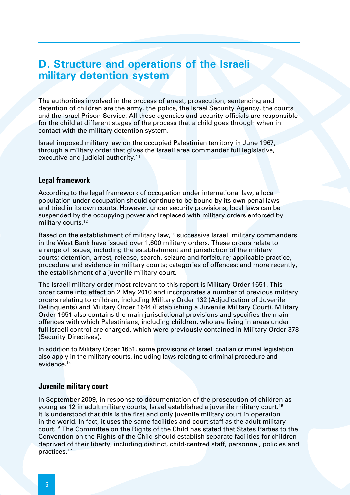# **D. Structure and operations of the Israeli military detention system**

The authorities involved in the process of arrest, prosecution, sentencing and detention of children are the army, the police, the Israel Security Agency, the courts and the Israel Prison Service. All these agencies and security officials are responsible for the child at different stages of the process that a child goes through when in contact with the military detention system.

Israel imposed military law on the occupied Palestinian territory in June 1967, through a military order that gives the Israeli area commander full legislative, executive and judicial authority.<sup>11</sup>

#### **Legal framework**

According to the legal framework of occupation under international law, a local population under occupation should continue to be bound by its own penal laws and tried in its own courts. However, under security provisions, local laws can be suspended by the occupying power and replaced with military orders enforced by military courts.<sup>12</sup>

Based on the establishment of military law,<sup>13</sup> successive Israeli military commanders in the West Bank have issued over 1,600 military orders. These orders relate to a range of issues, including the establishment and jurisdiction of the military courts; detention, arrest, release, search, seizure and forfeiture; applicable practice, procedure and evidence in military courts; categories of offences; and more recently, the establishment of a juvenile military court.

The Israeli military order most relevant to this report is Military Order 1651. This order came into effect on 2 May 2010 and incorporates a number of previous military orders relating to children, including Military Order 132 (Adjudication of Juvenile Delinquents) and Military Order 1644 (Establishing a Juvenile Military Court). Military Order 1651 also contains the main jurisdictional provisions and specifies the main offences with which Palestinians, including children, who are living in areas under full Israeli control are charged, which were previously contained in Military Order 378 (Security Directives).

In addition to Military Order 1651, some provisions of Israeli civilian criminal legislation also apply in the military courts, including laws relating to criminal procedure and evidence.<sup>14</sup>

#### **Juvenile military court**

In September 2009, in response to documentation of the prosecution of children as young as 12 in adult military courts, Israel established a juvenile military court.<sup>15</sup> It is understood that this is the first and only juvenile military court in operation in the world. In fact, it uses the same facilities and court staff as the adult military court.<sup>16</sup> The Committee on the Rights of the Child has stated that States Parties to the Convention on the Rights of the Child should establish separate facilities for children deprived of their liberty, including distinct, child-centred staff, personnel, policies and practices.17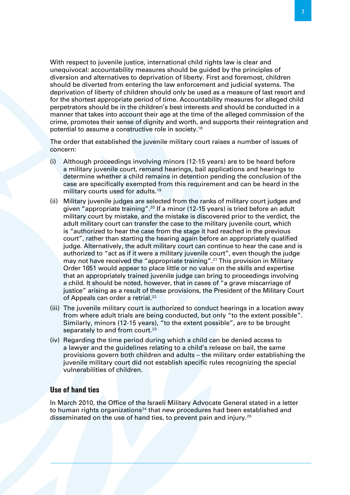With respect to juvenile justice, international child rights law is clear and unequivocal: accountability measures should be guided by the principles of diversion and alternatives to deprivation of liberty. First and foremost, children should be diverted from entering the law enforcement and judicial systems. The deprivation of liberty of children should only be used as a measure of last resort and for the shortest appropriate period of time. Accountability measures for alleged child perpetrators should be in the children's best interests and should be conducted in a manner that takes into account their age at the time of the alleged commission of the crime, promotes their sense of dignity and worth, and supports their reintegration and potential to assume a constructive role in society.<sup>18</sup>

The order that established the juvenile military court raises a number of issues of concern:

- (i) Although proceedings involving minors (12-15 years) are to be heard before a military juvenile court, remand hearings, bail applications and hearings to determine whether a child remains in detention pending the conclusion of the case are specifically exempted from this requirement and can be heard in the military courts used for adults.<sup>19</sup>
- (ii) Military juvenile judges are selected from the ranks of military court judges and given "appropriate training".<sup>20</sup> If a minor (12-15 years) is tried before an adult military court by mistake, and the mistake is discovered prior to the verdict, the adult military court can transfer the case to the military juvenile court, which is "authorized to hear the case from the stage it had reached in the previous court", rather than starting the hearing again before an appropriately qualified judge. Alternatively, the adult military court can continue to hear the case and is authorized to "act as if it were a military juvenile court", even though the judge may not have received the "appropriate training".<sup>21</sup> This provision in Military Order 1651 would appear to place little or no value on the skills and expertise that an appropriately trained juvenile judge can bring to proceedings involving a child. It should be noted, however, that in cases of "a grave miscarriage of justice" arising as a result of these provisions, the President of the Military Court of Appeals can order a retrial.<sup>22</sup>
- (iii) The juvenile military court is authorized to conduct hearings in a location away from where adult trials are being conducted, but only "to the extent possible". Similarly, minors (12-15 years), "to the extent possible", are to be brought separately to and from court.<sup>23</sup>
- (iv) Regarding the time period during which a child can be denied access to a lawyer and the guidelines relating to a child's release on bail, the same provisions govern both children and adults – the military order establishing the juvenile military court did not establish specific rules recognizing the special vulnerabilities of children.

## **Use of hand ties**

In March 2010, the Office of the Israeli Military Advocate General stated in a letter to human rights organizations<sup>24</sup> that new procedures had been established and disseminated on the use of hand ties, to prevent pain and injury.<sup>25</sup>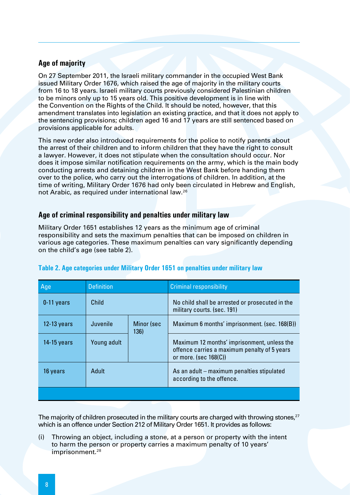## **Age of majority**

On 27 September 2011, the Israeli military commander in the occupied West Bank issued Military Order 1676, which raised the age of majority in the military courts from 16 to 18 years. Israeli military courts previously considered Palestinian children to be minors only up to 15 years old. This positive development is in line with the Convention on the Rights of the Child. It should be noted, however, that this amendment translates into legislation an existing practice, and that it does not apply to the sentencing provisions; children aged 16 and 17 years are still sentenced based on provisions applicable for adults.

This new order also introduced requirements for the police to notify parents about the arrest of their children and to inform children that they have the right to consult a lawyer. However, it does not stipulate when the consultation should occur. Nor does it impose similar notification requirements on the army, which is the main body conducting arrests and detaining children in the West Bank before handing them over to the police, who carry out the interrogations of children. In addition, at the time of writing, Military Order 1676 had only been circulated in Hebrew and English, not Arabic, as required under international law.<sup>26</sup>

#### **Age of criminal responsibility and penalties under military law**

Military Order 1651 establishes 12 years as the minimum age of criminal responsibility and sets the maximum penalties that can be imposed on children in various age categories. These maximum penalties can vary significantly depending on the child's age (see table 2).

| Age           | <b>Definition</b> |                           | <b>Criminal responsibility</b>                                                                                          |
|---------------|-------------------|---------------------------|-------------------------------------------------------------------------------------------------------------------------|
| 0-11 years    | Child             |                           | No child shall be arrested or prosecuted in the<br>military courts. (sec. 191)                                          |
| $12-13$ years | Juvenile          | <b>Minor</b> (sec<br>136) | Maximum 6 months' imprisonment. (sec. 168(B))                                                                           |
| $14-15$ years | Young adult       |                           | Maximum 12 months' imprisonment, unless the<br>offence carries a maximum penalty of 5 years<br>or more. (sec $168(C)$ ) |
| 16 years      | Adult             |                           | As an adult – maximum penalties stipulated<br>according to the offence.                                                 |
|               |                   |                           |                                                                                                                         |

#### **Table 2. Age categories under Military Order 1651 on penalties under military law**

The majority of children prosecuted in the military courts are charged with throwing stones, $27$ which is an offence under Section 212 of Military Order 1651. It provides as follows:

(i) Throwing an object, including a stone, at a person or property with the intent to harm the person or property carries a maximum penalty of 10 years' imprisonment.<sup>28</sup>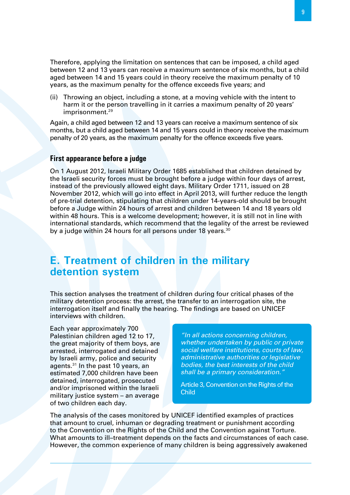Therefore, applying the limitation on sentences that can be imposed, a child aged between 12 and 13 years can receive a maximum sentence of six months, but a child aged between 14 and 15 years could in theory receive the maximum penalty of 10 years, as the maximum penalty for the offence exceeds five years; and

(ii) Throwing an object, including a stone, at a moving vehicle with the intent to harm it or the person travelling in it carries a maximum penalty of 20 years' imprisonment.<sup>29</sup>

Again, a child aged between 12 and 13 years can receive a maximum sentence of six months, but a child aged between 14 and 15 years could in theory receive the maximum penalty of 20 years, as the maximum penalty for the offence exceeds five years.

#### **First appearance before a judge**

On 1 August 2012, Israeli Military Order 1685 established that children detained by the Israeli security forces must be brought before a judge within four days of arrest, instead of the previously allowed eight days. Military Order 1711, issued on 28 November 2012, which will go into effect in April 2013, will further reduce the length of pre-trial detention, stipulating that children under 14-years-old should be brought before a Judge within 24 hours of arrest and children between 14 and 18 years old within 48 hours. This is a welcome development; however, it is still not in line with international standards, which recommend that the legality of the arrest be reviewed by a judge within 24 hours for all persons under 18 years.<sup>30</sup>

# **E. Treatment of children in the military detention system**

This section analyses the treatment of children during four critical phases of the military detention process: the arrest, the transfer to an interrogation site, the interrogation itself and finally the hearing. The findings are based on UNICEF interviews with children.

Each year approximately 700 Palestinian children aged 12 to 17, the great majority of them boys, are arrested, interrogated and detained by Israeli army, police and security agents.<sup>31</sup> In the past 10 years, an estimated 7,000 children have been detained, interrogated, prosecuted and/or imprisoned within the Israeli military justice system – an average of two children each day.

*"In all actions concerning children, whether undertaken by public or private social welfare institutions, courts of law, administrative authorities or legislative bodies, the best interests of the child shall be a primary consideration."*

Article 3, Convention on the Rights of the Child

The analysis of the cases monitored by UNICEF identified examples of practices that amount to cruel, inhuman or degrading treatment or punishment according to the Convention on the Rights of the Child and the Convention against Torture. What amounts to ill–treatment depends on the facts and circumstances of each case. However, the common experience of many children is being aggressively awakened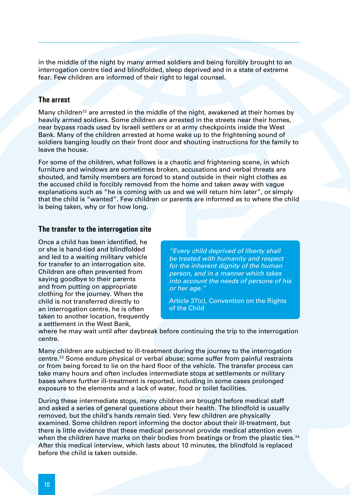in the middle of the night by many armed soldiers and being forcibly brought to an interrogation centre tied and blindfolded, sleep deprived and in a state of extreme fear. Few children are informed of their right to legal counsel.

## **The arrest**

Many children $32$  are arrested in the middle of the night, awakened at their homes by heavily armed soldiers. Some children are arrested in the streets near their homes, near bypass roads used by Israeli settlers or at army checkpoints inside the West Bank. Many of the children arrested at home wake up to the frightening sound of soldiers banging loudly on their front door and shouting instructions for the family to leave the house.

For some of the children, what follows is a chaotic and frightening scene, in which furniture and windows are sometimes broken, accusations and verbal threats are shouted, and family members are forced to stand outside in their night clothes as the accused child is forcibly removed from the home and taken away with vague explanations such as "he is coming with us and we will return him later", or simply that the child is "wanted". Few children or parents are informed as to where the child is being taken, why or for how long.

## **The transfer to the interrogation site**

Once a child has been identified, he or she is hand-tied and blindfolded and led to a waiting military vehicle for transfer to an interrogation site. Children are often prevented from saying goodbye to their parents and from putting on appropriate clothing for the journey. When the child is not transferred directly to an interrogation centre, he is often taken to another location, frequently a settlement in the West Bank,

*"Every child deprived of liberty shall be treated with humanity and respect for the inherent dignity of the human person, and in a manner which takes into account the needs of persons of his or her age."*

Article 37(c), Convention on the Rights of the Child

where he may wait until after daybreak before continuing the trip to the interrogation centre.

Many children are subjected to ill-treatment during the journey to the interrogation centre.<sup>33</sup> Some endure physical or verbal abuse; some suffer from painful restraints or from being forced to lie on the hard floor of the vehicle. The transfer process can take many hours and often includes intermediate stops at settlements or military bases where further ill-treatment is reported, including in some cases prolonged exposure to the elements and a lack of water, food or toilet facilities.

During these intermediate stops, many children are brought before medical staff and asked a series of general questions about their health. The blindfold is usually removed, but the child's hands remain tied. Very few children are physically examined. Some children report informing the doctor about their ill-treatment, but there is little evidence that these medical personnel provide medical attention even when the children have marks on their bodies from beatings or from the plastic ties. $34$ After this medical interview, which lasts about 10 minutes, the blindfold is replaced before the child is taken outside.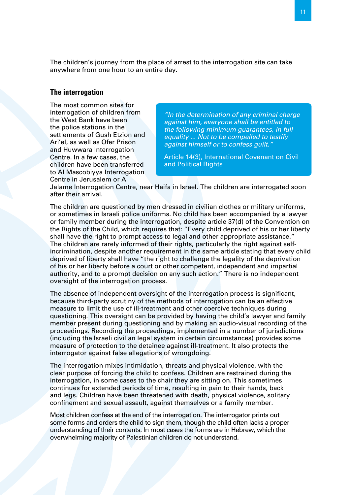The children's journey from the place of arrest to the interrogation site can take anywhere from one hour to an entire day.

#### **The interrogation**

The most common sites for interrogation of children from the West Bank have been the police stations in the settlements of Gush Etzion and Ari'el, as well as Ofer Prison and Huwwara Interrogation Centre. In a few cases, the children have been transferred to Al Mascobiyya Interrogation Centre in Jerusalem or Al

*"In the determination of any criminal charge against him, everyone shall be entitled to the following minimum guarantees, in full equality ... Not to be compelled to testify against himself or to confess guilt."*

Article 14(3), International Covenant on Civil and Political Rights

Jalame Interrogation Centre, near Haifa in Israel. The children are interrogated soon after their arrival.

The children are questioned by men dressed in civilian clothes or military uniforms, or sometimes in Israeli police uniforms. No child has been accompanied by a lawyer or family member during the interrogation, despite article 37(d) of the Convention on the Rights of the Child, which requires that: "Every child deprived of his or her liberty shall have the right to prompt access to legal and other appropriate assistance." The children are rarely informed of their rights, particularly the right against selfincrimination, despite another requirement in the same article stating that every child deprived of liberty shall have "the right to challenge the legality of the deprivation of his or her liberty before a court or other competent, independent and impartial authority, and to a prompt decision on any such action." There is no independent oversight of the interrogation process.

The absence of independent oversight of the interrogation process is significant, because third-party scrutiny of the methods of interrogation can be an effective measure to limit the use of ill-treatment and other coercive techniques during questioning. This oversight can be provided by having the child's lawyer and family member present during questioning and by making an audio-visual recording of the proceedings. Recording the proceedings, implemented in a number of jurisdictions (including the Israeli civilian legal system in certain circumstances) provides some measure of protection to the detainee against ill-treatment. It also protects the interrogator against false allegations of wrongdoing.

The interrogation mixes intimidation, threats and physical violence, with the clear purpose of forcing the child to confess. Children are restrained during the interrogation, in some cases to the chair they are sitting on. This sometimes continues for extended periods of time, resulting in pain to their hands, back and legs. Children have been threatened with death, physical violence, solitary confinement and sexual assault, against themselves or a family member.

Most children confess at the end of the interrogation. The interrogator prints out some forms and orders the child to sign them, though the child often lacks a proper understanding of their contents. In most cases the forms are in Hebrew, which the overwhelming majority of Palestinian children do not understand.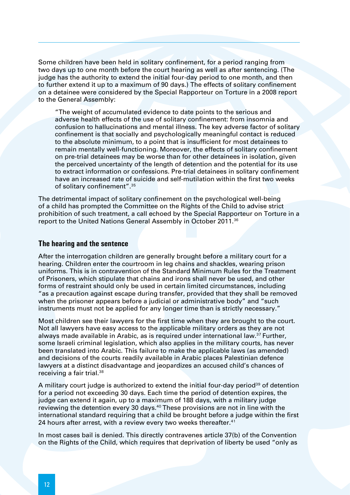Some children have been held in solitary confinement, for a period ranging from two days up to one month before the court hearing as well as after sentencing. (The judge has the authority to extend the initial four-day period to one month, and then to further extend it up to a maximum of 90 days.) The effects of solitary confinement on a detainee were considered by the Special Rapporteur on Torture in a 2008 report to the General Assembly:

"The weight of accumulated evidence to date points to the serious and adverse health effects of the use of solitary confinement: from insomnia and confusion to hallucinations and mental illness. The key adverse factor of solitary confinement is that socially and psychologically meaningful contact is reduced to the absolute minimum, to a point that is insufficient for most detainees to remain mentally well-functioning. Moreover, the effects of solitary confinement on pre-trial detainees may be worse than for other detainees in isolation, given the perceived uncertainty of the length of detention and the potential for its use to extract information or confessions. Pre-trial detainees in solitary confinement have an increased rate of suicide and self-mutilation within the first two weeks of solitary confinement".<sup>35</sup>

The detrimental impact of solitary confinement on the psychological well-being of a child has prompted the Committee on the Rights of the Child to advise strict prohibition of such treatment, a call echoed by the Special Rapporteur on Torture in a report to the United Nations General Assembly in October 2011.<sup>36</sup>

#### **The hearing and the sentence**

After the interrogation children are generally brought before a military court for a hearing. Children enter the courtroom in leg chains and shackles, wearing prison uniforms. This is in contravention of the Standard Minimum Rules for the Treatment of Prisoners, which stipulate that chains and irons shall never be used, and other forms of restraint should only be used in certain limited circumstances, including "as a precaution against escape during transfer, provided that they shall be removed when the prisoner appears before a judicial or administrative body" and "such instruments must not be applied for any longer time than is strictly necessary."

Most children see their lawyers for the first time when they are brought to the court. Not all lawyers have easy access to the applicable military orders as they are not always made available in Arabic, as is required under international law. $37$  Further, some Israeli criminal legislation, which also applies in the military courts, has never been translated into Arabic. This failure to make the applicable laws (as amended) and decisions of the courts readily available in Arabic places Palestinian defence lawyers at a distinct disadvantage and jeopardizes an accused child's chances of receiving a fair trial.<sup>38</sup>

A military court judge is authorized to extend the initial four-day period<sup>39</sup> of detention for a period not exceeding 30 days. Each time the period of detention expires, the judge can extend it again, up to a maximum of 188 days, with a military judge reviewing the detention every 30 days.<sup>40</sup> These provisions are not in line with the international standard requiring that a child be brought before a judge within the first 24 hours after arrest, with a review every two weeks thereafter.<sup>41</sup>

In most cases bail is denied. This directly contravenes article 37(b) of the Convention on the Rights of the Child, which requires that deprivation of liberty be used "only as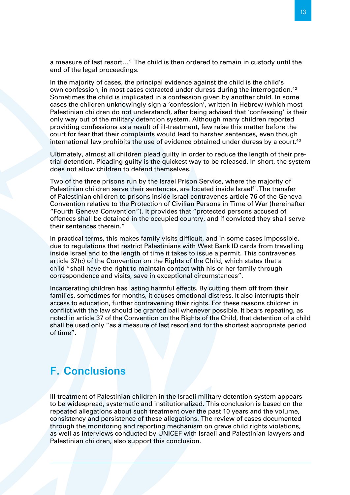a measure of last resort…" The child is then ordered to remain in custody until the end of the legal proceedings.

In the majority of cases, the principal evidence against the child is the child's own confession, in most cases extracted under duress during the interrogation.<sup>42</sup> Sometimes the child is implicated in a confession given by another child. In some cases the children unknowingly sign a 'confession', written in Hebrew (which most Palestinian children do not understand), after being advised that 'confessing' is their only way out of the military detention system. Although many children reported providing confessions as a result of ill-treatment, few raise this matter before the court for fear that their complaints would lead to harsher sentences, even though international law prohibits the use of evidence obtained under duress by a court.<sup>43</sup>

Ultimately, almost all children plead guilty in order to reduce the length of their pretrial detention. Pleading guilty is the quickest way to be released. In short, the system does not allow children to defend themselves.

Two of the three prisons run by the Israel Prison Service, where the majority of Palestinian children serve their sentences, are located inside Israel<sup>44</sup>. The transfer of Palestinian children to prisons inside Israel contravenes article 76 of the Geneva Convention relative to the Protection of Civilian Persons in Time of War (hereinafter "Fourth Geneva Convention"). It provides that "protected persons accused of offences shall be detained in the occupied country, and if convicted they shall serve their sentences therein."

In practical terms, this makes family visits difficult, and in some cases impossible, due to regulations that restrict Palestinians with West Bank ID cards from travelling inside Israel and to the length of time it takes to issue a permit. This contravenes article 37(c) of the Convention on the Rights of the Child, which states that a child "shall have the right to maintain contact with his or her family through correspondence and visits, save in exceptional circumstances".

Incarcerating children has lasting harmful effects. By cutting them off from their families, sometimes for months, it causes emotional distress. It also interrupts their access to education, further contravening their rights. For these reasons children in conflict with the law should be granted bail whenever possible. It bears repeating, as noted in article 37 of the Convention on the Rights of the Child, that detention of a child shall be used only "as a measure of last resort and for the shortest appropriate period of time".

# **F. Conclusions**

Ill-treatment of Palestinian children in the Israeli military detention system appears to be widespread, systematic and institutionalized. This conclusion is based on the repeated allegations about such treatment over the past 10 years and the volume, consistency and persistence of these allegations. The review of cases documented through the monitoring and reporting mechanism on grave child rights violations, as well as interviews conducted by UNICEF with Israeli and Palestinian lawyers and Palestinian children, also support this conclusion.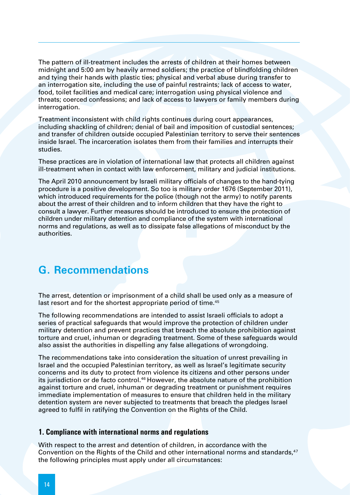The pattern of ill-treatment includes the arrests of children at their homes between midnight and 5:00 am by heavily armed soldiers; the practice of blindfolding children and tying their hands with plastic ties; physical and verbal abuse during transfer to an interrogation site, including the use of painful restraints; lack of access to water, food, toilet facilities and medical care; interrogation using physical violence and threats; coerced confessions; and lack of access to lawyers or family members during interrogation.

Treatment inconsistent with child rights continues during court appearances, including shackling of children; denial of bail and imposition of custodial sentences; and transfer of children outside occupied Palestinian territory to serve their sentences inside Israel. The incarceration isolates them from their families and interrupts their studies.

These practices are in violation of international law that protects all children against ill-treatment when in contact with law enforcement, military and judicial institutions.

The April 2010 announcement by Israeli military officials of changes to the hand-tying procedure is a positive development. So too is military order 1676 (September 2011), which introduced requirements for the police (though not the army) to notify parents about the arrest of their children and to inform children that they have the right to consult a lawyer. Further measures should be introduced to ensure the protection of children under military detention and compliance of the system with international norms and regulations, as well as to dissipate false allegations of misconduct by the authorities.

# **G. Recommendations**

The arrest, detention or imprisonment of a child shall be used only as a measure of last resort and for the shortest appropriate period of time.<sup>45</sup>

The following recommendations are intended to assist Israeli officials to adopt a series of practical safeguards that would improve the protection of children under military detention and prevent practices that breach the absolute prohibition against torture and cruel, inhuman or degrading treatment. Some of these safeguards would also assist the authorities in dispelling any false allegations of wrongdoing.

The recommendations take into consideration the situation of unrest prevailing in Israel and the occupied Palestinian territory, as well as Israel's legitimate security concerns and its duty to protect from violence its citizens and other persons under its jurisdiction or de facto control. $46$  However, the absolute nature of the prohibition against torture and cruel, inhuman or degrading treatment or punishment requires immediate implementation of measures to ensure that children held in the military detention system are never subjected to treatments that breach the pledges Israel agreed to fulfil in ratifying the Convention on the Rights of the Child.

#### **1. Compliance with international norms and regulations**

With respect to the arrest and detention of children, in accordance with the Convention on the Rights of the Child and other international norms and standards. $47$ the following principles must apply under all circumstances: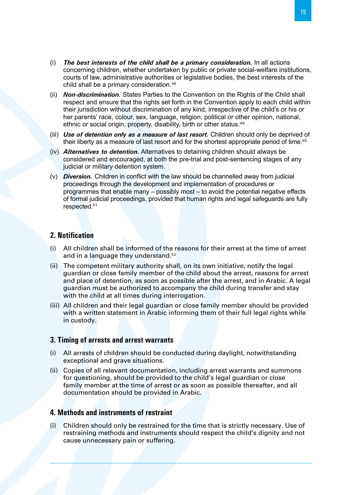- (i) *The best interests of the child shall be a primary consideration.* In all actions concerning children, whether undertaken by public or private social-welfare institutions, courts of law, administrative authorities or legislative bodies, the best interests of the child shall be a primary consideration.<sup>48</sup>
- (ii) *Non-discrimination.* States Parties to the Convention on the Rights of the Child shall respect and ensure that the rights set forth in the Convention apply to each child within their jurisdiction without discrimination of any kind, irrespective of the child's or his or her parents' race, colour, sex, language, religion, political or other opinion, national, ethnic or social origin, property, disability, birth or other status.<sup>49</sup>
- (iii) *Use of detention only as a measure of last resort.* Children should only be deprived of their liberty as a measure of last resort and for the shortest appropriate period of time.<sup>50</sup>
- (iv) *Alternatives to detention.* Alternatives to detaining children should always be considered and encouraged, at both the pre-trial and post-sentencing stages of any judicial or military detention system.
- (v) *Diversion.* Children in conflict with the law should be channelled away from judicial proceedings through the development and implementation of procedures or programmes that enable many – possibly most – to avoid the potential negative effects of formal judicial proceedings, provided that human rights and legal safeguards are fully respected.<sup>51</sup>

# **2. Notification**

- (i) All children shall be informed of the reasons for their arrest at the time of arrest and in a language they understand.<sup>52</sup>
- (ii) The competent military authority shall, on its own initiative, notify the legal guardian or close family member of the child about the arrest, reasons for arrest and place of detention, as soon as possible after the arrest, and in Arabic. A legal guardian must be authorized to accompany the child during transfer and stay with the child at all times during interrogation.
- (iii) All children and their legal guardian or close family member should be provided with a written statement in Arabic informing them of their full legal rights while in custody.

## **3. Timing of arrests and arrest warrants**

- (i) All arrests of children should be conducted during daylight, notwithstanding exceptional and grave situations.
- (ii) Copies of all relevant documentation, including arrest warrants and summons for questioning, should be provided to the child's legal guardian or close family member at the time of arrest or as soon as possible thereafter, and all documentation should be provided in Arabic.

# **4. Methods and instruments of restraint**

(i) Children should only be restrained for the time that is strictly necessary. Use of restraining methods and instruments should respect the child's dignity and not cause unnecessary pain or suffering.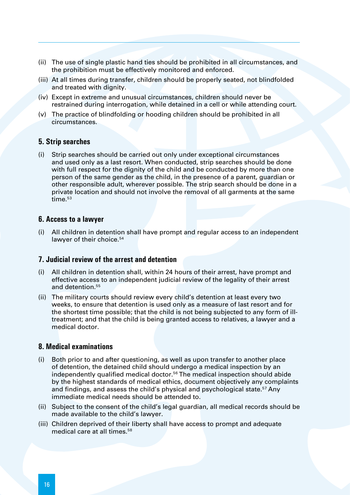- (ii) The use of single plastic hand ties should be prohibited in all circumstances, and the prohibition must be effectively monitored and enforced.
- (iii) At all times during transfer, children should be properly seated, not blindfolded and treated with dignity.
- (iv) Except in extreme and unusual circumstances, children should never be restrained during interrogation, while detained in a cell or while attending court.
- (v) The practice of blindfolding or hooding children should be prohibited in all circumstances.

## **5. Strip searches**

(i) Strip searches should be carried out only under exceptional circumstances and used only as a last resort. When conducted, strip searches should be done with full respect for the dignity of the child and be conducted by more than one person of the same gender as the child, in the presence of a parent, guardian or other responsible adult, wherever possible. The strip search should be done in a private location and should not involve the removal of all garments at the same  $time^{53}$ 

#### **6. Access to a lawyer**

(i) All children in detention shall have prompt and regular access to an independent lawyer of their choice.<sup>54</sup>

#### **7. Judicial review of the arrest and detention**

- (i) All children in detention shall, within 24 hours of their arrest, have prompt and effective access to an independent judicial review of the legality of their arrest and detention.<sup>55</sup>
- (ii) The military courts should review every child's detention at least every two weeks, to ensure that detention is used only as a measure of last resort and for the shortest time possible; that the child is not being subjected to any form of illtreatment; and that the child is being granted access to relatives, a lawyer and a medical doctor.

#### **8. Medical examinations**

- (i) Both prior to and after questioning, as well as upon transfer to another place of detention, the detained child should undergo a medical inspection by an independently qualified medical doctor.<sup>56</sup> The medical inspection should abide by the highest standards of medical ethics, document objectively any complaints and findings, and assess the child's physical and psychological state.<sup>57</sup> Any immediate medical needs should be attended to.
- (ii) Subject to the consent of the child's legal guardian, all medical records should be made available to the child's lawyer.
- (iii) Children deprived of their liberty shall have access to prompt and adequate medical care at all times.<sup>58</sup>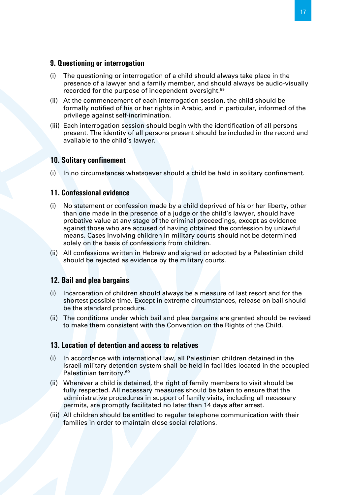## **9. Questioning or interrogation**

- (i) The questioning or interrogation of a child should always take place in the presence of a lawyer and a family member, and should always be audio-visually recorded for the purpose of independent oversight.<sup>59</sup>
- (ii) At the commencement of each interrogation session, the child should be formally notified of his or her rights in Arabic, and in particular, informed of the privilege against self-incrimination.
- (iii) Each interrogation session should begin with the identification of all persons present. The identity of all persons present should be included in the record and available to the child's lawyer.

# **10. Solitary confinement**

(i) In no circumstances whatsoever should a child be held in solitary confinement.

# **11. Confessional evidence**

- (i) No statement or confession made by a child deprived of his or her liberty, other than one made in the presence of a judge or the child's lawyer, should have probative value at any stage of the criminal proceedings, except as evidence against those who are accused of having obtained the confession by unlawful means. Cases involving children in military courts should not be determined solely on the basis of confessions from children.
- (ii) All confessions written in Hebrew and signed or adopted by a Palestinian child should be rejected as evidence by the military courts.

## **12. Bail and plea bargains**

- (i) Incarceration of children should always be a measure of last resort and for the shortest possible time. Except in extreme circumstances, release on bail should be the standard procedure.
- (ii) The conditions under which bail and plea bargains are granted should be revised to make them consistent with the Convention on the Rights of the Child.

# **13. Location of detention and access to relatives**

- (i) In accordance with international law, all Palestinian children detained in the Israeli military detention system shall be held in facilities located in the occupied Palestinian territory.<sup>60</sup>
- (ii) Wherever a child is detained, the right of family members to visit should be fully respected. All necessary measures should be taken to ensure that the administrative procedures in support of family visits, including all necessary permits, are promptly facilitated no later than 14 days after arrest.
- (iii) All children should be entitled to regular telephone communication with their families in order to maintain close social relations.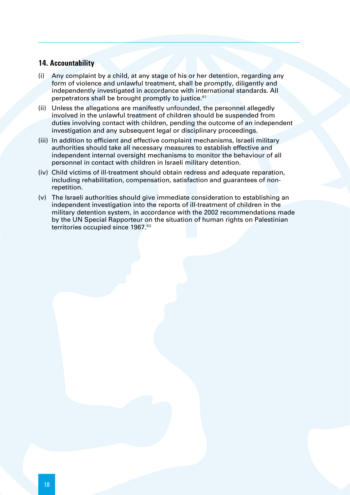## **14. Accountability**

- (i) Any complaint by a child, at any stage of his or her detention, regarding any form of violence and unlawful treatment, shall be promptly, diligently and independently investigated in accordance with international standards. All perpetrators shall be brought promptly to justice.<sup>61</sup>
- (ii) Unless the allegations are manifestly unfounded, the personnel allegedly involved in the unlawful treatment of children should be suspended from duties involving contact with children, pending the outcome of an independent investigation and any subsequent legal or disciplinary proceedings.
- (iii) In addition to efficient and effective complaint mechanisms, Israeli military authorities should take all necessary measures to establish effective and independent internal oversight mechanisms to monitor the behaviour of all personnel in contact with children in Israeli military detention.
- (iv) Child victims of ill-treatment should obtain redress and adequate reparation, including rehabilitation, compensation, satisfaction and guarantees of nonrepetition.
- (v) The Israeli authorities should give immediate consideration to establishing an independent investigation into the reports of ill-treatment of children in the military detention system, in accordance with the 2002 recommendations made by the UN Special Rapporteur on the situation of human rights on Palestinian territories occupied since 1967.<sup>62</sup>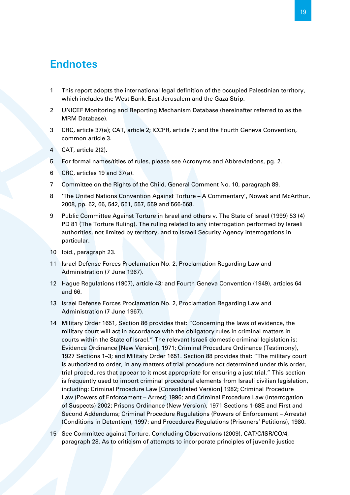# **Endnotes**

- 1 This report adopts the international legal definition of the occupied Palestinian territory, which includes the West Bank, East Jerusalem and the Gaza Strip.
- 2 UNICEF Monitoring and Reporting Mechanism Database (hereinafter referred to as the MRM Database).
- 3 CRC, article 37(a); CAT, article 2; ICCPR, article 7; and the Fourth Geneva Convention, common article 3.
- 4 CAT, article 2(2).
- 5 For formal names/titles of rules, please see Acronyms and Abbreviations, pg. 2.
- 6 CRC, articles 19 and 37(a).
- 7 Committee on the Rights of the Child, General Comment No. 10, paragraph 89.
- 8 'The United Nations Convention Against Torture A Commentary', Nowak and McArthur, 2008, pp. 62, 66, 542, 551, 557, 559 and 566-568.
- 9 Public Committee Against Torture in Israel and others v. The State of Israel (1999) 53 (4) PD 81 (The Torture Ruling). The ruling related to any interrogation performed by Israeli authorities, not limited by territory, and to Israeli Security Agency interrogations in particular.
- 10 Ibid., paragraph 23.
- 11 Israel Defense Forces Proclamation No. 2, Proclamation Regarding Law and Administration (7 June 1967).
- 12 Hague Regulations (1907), article 43; and Fourth Geneva Convention (1949), articles 64 and 66.
- 13 Israel Defense Forces Proclamation No. 2, Proclamation Regarding Law and Administration (7 June 1967).
- 14 Military Order 1651, Section 86 provides that: "Concerning the laws of evidence, the military court will act in accordance with the obligatory rules in criminal matters in courts within the State of Israel." The relevant Israeli domestic criminal legislation is: Evidence Ordinance [New Version], 1971; Criminal Procedure Ordinance (Testimony), 1927 Sections 1–3; and Military Order 1651. Section 88 provides that: "The military court is authorized to order, in any matters of trial procedure not determined under this order, trial procedures that appear to it most appropriate for ensuring a just trial." This section is frequently used to import criminal procedural elements from Israeli civilian legislation, including: Criminal Procedure Law [Consolidated Version] 1982; Criminal Procedure Law (Powers of Enforcement – Arrest) 1996; and Criminal Procedure Law (Interrogation of Suspects) 2002; Prisons Ordinance (New Version), 1971 Sections 1-68E and First and Second Addendums; Criminal Procedure Regulations (Powers of Enforcement – Arrests) (Conditions in Detention), 1997; and Procedures Regulations (Prisoners' Petitions), 1980.
- 15 See Committee against Torture, Concluding Observations (2009), CAT/C/ISR/CO/4, paragraph 28. As to criticism of attempts to incorporate principles of juvenile justice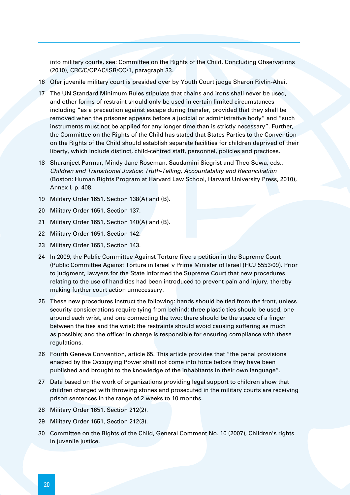into military courts, see: Committee on the Rights of the Child, Concluding Observations (2010), CRC/C/OPAC/ISR/CO/1, paragraph 33.

- 16 Ofer juvenile military court is presided over by Youth Court judge Sharon Rivlin-Ahai.
- 17 The UN Standard Minimum Rules stipulate that chains and irons shall never be used, and other forms of restraint should only be used in certain limited circumstances including "as a precaution against escape during transfer, provided that they shall be removed when the prisoner appears before a judicial or administrative body" and "such instruments must not be applied for any longer time than is strictly necessary". Further, the Committee on the Rights of the Child has stated that States Parties to the Convention on the Rights of the Child should establish separate facilities for children deprived of their liberty, which include distinct, child-centred staff, personnel, policies and practices.
- 18 Sharanjeet Parmar, Mindy Jane Roseman, Saudamini Siegrist and Theo Sowa, eds., *Children and Transitional Justice: Truth-Telling, Accountability and Reconciliation* (Boston: Human Rights Program at Harvard Law School, Harvard University Press, 2010), Annex I, p. 408.
- 19 Military Order 1651, Section 138(A) and (B).
- 20 Military Order 1651, Section 137.
- 21 Military Order 1651, Section 140(A) and (B).
- 22 Military Order 1651, Section 142.
- 23 Military Order 1651, Section 143.
- 24 In 2009, the Public Committee Against Torture filed a petition in the Supreme Court (Public Committee Against Torture in Israel v Prime Minister of Israel (HCJ 5553/09). Prior to judgment, lawyers for the State informed the Supreme Court that new procedures relating to the use of hand ties had been introduced to prevent pain and injury, thereby making further court action unnecessary.
- 25 These new procedures instruct the following: hands should be tied from the front, unless security considerations require tying from behind; three plastic ties should be used, one around each wrist, and one connecting the two; there should be the space of a finger between the ties and the wrist; the restraints should avoid causing suffering as much as possible; and the officer in charge is responsible for ensuring compliance with these regulations.
- 26 Fourth Geneva Convention, article 65. This article provides that "the penal provisions enacted by the Occupying Power shall not come into force before they have been published and brought to the knowledge of the inhabitants in their own language".
- 27 Data based on the work of organizations providing legal support to children show that children charged with throwing stones and prosecuted in the military courts are receiving prison sentences in the range of 2 weeks to 10 months.
- 28 Military Order 1651, Section 212(2).
- 29 Military Order 1651, Section 212(3).
- 30 Committee on the Rights of the Child, General Comment No. 10 (2007), Children's rights in juvenile justice.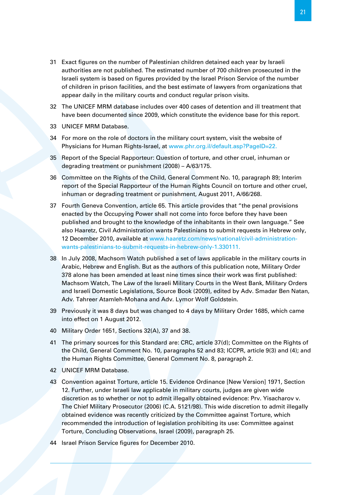- 31 Exact figures on the number of Palestinian children detained each year by Israeli authorities are not published. The estimated number of 700 children prosecuted in the Israeli system is based on figures provided by the Israel Prison Service of the number of children in prison facilities, and the best estimate of lawyers from organizations that appear daily in the military courts and conduct regular prison visits.
- 32 The UNICEF MRM database includes over 400 cases of detention and ill treatment that have been documented since 2009, which constitute the evidence base for this report.
- 33 UNICEF MRM Database.
- 34 For more on the role of doctors in the military court system, visit the website of Physicians for Human Rights-Israel, at www.phr.org.il/default.asp?PageID=22.
- 35 Report of the Special Rapporteur: Question of torture, and other cruel, inhuman or degrading treatment or punishment (2008) – A/63/175.
- 36 Committee on the Rights of the Child, General Comment No. 10, paragraph 89; Interim report of the Special Rapporteur of the Human Rights Council on torture and other cruel, inhuman or degrading treatment or punishment, August 2011, A/66/268.
- 37 Fourth Geneva Convention, article 65. This article provides that "the penal provisions enacted by the Occupying Power shall not come into force before they have been published and brought to the knowledge of the inhabitants in their own language." See also Haaretz, Civil Administration wants Palestinians to submit requests in Hebrew only, 12 December 2010, available at www.haaretz.com/news/national/civil-administrationwants-palestinians-to-submit-requests-in-hebrew-only-1.330111.
- 38 In July 2008, Machsom Watch published a set of laws applicable in the military courts in Arabic, Hebrew and English. But as the authors of this publication note, Military Order 378 alone has been amended at least nine times since their work was first published: Machsom Watch, The Law of the Israeli Military Courts in the West Bank, Military Orders and Israeli Domestic Legislations, Source Book (2009), edited by Adv. Smadar Ben Natan, Adv. Tahreer Atamleh-Mohana and Adv. Lymor Wolf Goldstein.
- 39 Previously it was 8 days but was changed to 4 days by Military Order 1685, which came into effect on 1 August 2012.
- 40 Military Order 1651, Sections 32(A), 37 and 38.
- 41 The primary sources for this Standard are: CRC, article 37(d); Committee on the Rights of the Child, General Comment No. 10, paragraphs 52 and 83; ICCPR, article 9(3) and (4); and the Human Rights Committee, General Comment No. 8, paragraph 2.
- 42 UNICEF MRM Database.
- 43 Convention against Torture, article 15. Evidence Ordinance [New Version] 1971, Section 12. Further, under Israeli law applicable in military courts, judges are given wide discretion as to whether or not to admit illegally obtained evidence: Prv. Yisacharov v. The Chief Military Prosecutor (2006) (C.A. 5121/98). This wide discretion to admit illegally obtained evidence was recently criticized by the Committee against Torture, which recommended the introduction of legislation prohibiting its use: Committee against Torture, Concluding Observations, Israel (2009), paragraph 25.
- 44 Israel Prison Service figures for December 2010.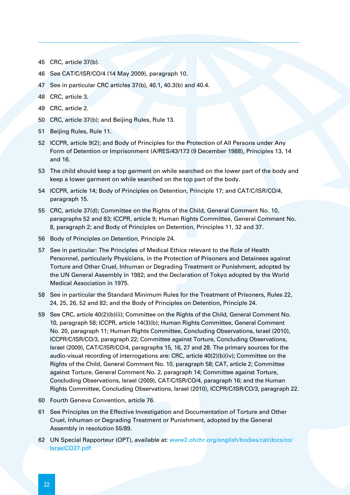- 45 CRC, article 37(b).
- 46 See CAT/C/ISR/CO/4 (14 May 2009), paragraph 10.
- 47 See in particular CRC articles 37(b), 40.1, 40.3(b) and 40.4.
- 48 CRC, article 3.
- 49 CRC, article 2.
- 50 CRC, article 37(b); and Beijing Rules, Rule 13.
- 51 Beijing Rules, Rule 11.
- 52 ICCPR, article 9(2); and Body of Principles for the Protection of All Persons under Any Form of Detention or Imprisonment (A/RES/43/173 (9 December 1988), Principles 13, 14 and 16.
- 53 The child should keep a top garment on while searched on the lower part of the body and keep a lower garment on while searched on the top part of the body.
- 54 ICCPR, article 14; Body of Principles on Detention, Principle 17; and CAT/C/ISR/CO/4, paragraph 15.
- 55 CRC, article 37(d); Committee on the Rights of the Child, General Comment No. 10, paragraphs 52 and 83; ICCPR, article 9; Human Rights Committee, General Comment No. 8, paragraph 2; and Body of Principles on Detention, Principles 11, 32 and 37.
- 56 Body of Principles on Detention, Principle 24.
- 57 See in particular: The Principles of Medical Ethics relevant to the Role of Health Personnel, particularly Physicians, in the Protection of Prisoners and Detainees against Torture and Other Cruel, Inhuman or Degrading Treatment or Punishment, adopted by the UN General Assembly in 1982; and the Declaration of Tokyo adopted by the World Medical Association in 1975.
- 58 See in particular the Standard Minimum Rules for the Treatment of Prisoners, Rules 22, 24, 25, 26, 52 and 82; and the Body of Principles on Detention, Principle 24.
- 59 See CRC, article 40(2)(b)(ii); Committee on the Rights of the Child, General Comment No. 10, paragraph 58; ICCPR, article 14(3)(b); Human Rights Committee, General Comment No. 20, paragraph 11; Human Rights Committee, Concluding Observations, Israel (2010), ICCPR/C/ISR/CO/3, paragraph 22; Committee against Torture, Concluding Observations, Israel (2009), CAT/C/ISR/CO/4, paragraphs 15, 16, 27 and 28. The primary sources for the audio-visual recording of interrogations are: CRC, article 40(2)(b)(iv); Committee on the Rights of the Child, General Comment No. 10, paragraph 58; CAT, article 2; Committee against Torture, General Comment No. 2, paragraph 14; Committee against Torture, Concluding Observations, Israel (2009), CAT/C/ISR/CO/4, paragraph 16; and the Human Rights Committee, Concluding Observations, Israel (2010), ICCPR/C/ISR/CO/3, paragraph 22.
- 60 Fourth Geneva Convention, article 76.
- 61 See Principles on the Effective Investigation and Documentation of Torture and Other Cruel, Inhuman or Degrading Treatment or Punishment, adopted by the General Assembly in resolution 55/89.
- 62 UN Special Rapporteur (OPT), available at: www2.ohchr.org/english/bodies/cat/docs/co/ IsraelCO27.pdf.